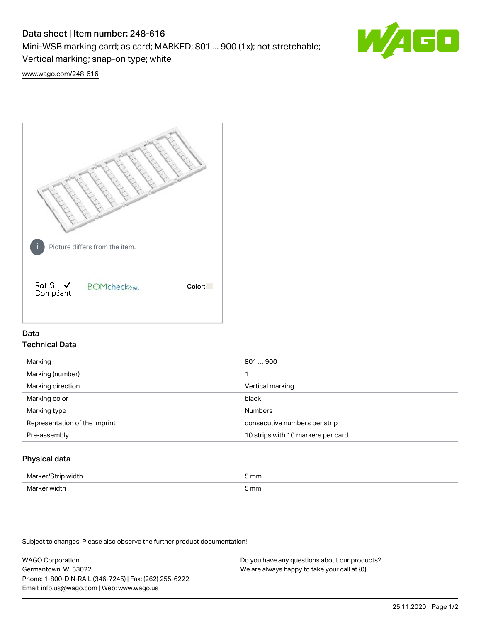# Data sheet | Item number: 248-616

Mini-WSB marking card; as card; MARKED; 801 ... 900 (1x); not stretchable;

Vertical marking; snap-on type; white

GO

[www.wago.com/248-616](http://www.wago.com/248-616)



# Data Technical Data

| Marking                       | 801900                             |
|-------------------------------|------------------------------------|
| Marking (number)              |                                    |
| Marking direction             | Vertical marking                   |
| Marking color                 | black                              |
| Marking type                  | <b>Numbers</b>                     |
| Representation of the imprint | consecutive numbers per strip      |
| Pre-assembly                  | 10 strips with 10 markers per card |
|                               |                                    |

## Physical data

| Marker/Strip width | 5 mm |
|--------------------|------|
| Marker width       | 5 mm |

Subject to changes. Please also observe the further product documentation!

WAGO Corporation Germantown, WI 53022 Phone: 1-800-DIN-RAIL (346-7245) | Fax: (262) 255-6222 Email: info.us@wago.com | Web: www.wago.us Do you have any questions about our products? We are always happy to take your call at {0}.